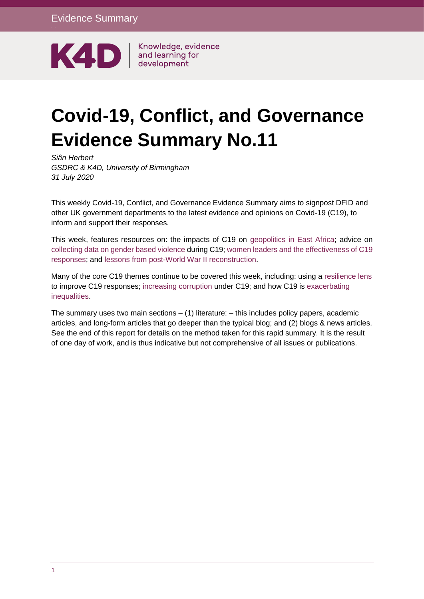

y

Knowledge, evidence

# **Covid-19, Conflict, and Governance Evidence Summary No.11**

*Siân Herbert GSDRC & K4D, University of Birmingham 31 July 2020* 

This weekly Covid-19, Conflict, and Governance Evidence Summary aims to signpost DFID and other UK government departments to the latest evidence and opinions on Covid-19 (C19), to inform and support their responses.

This week, features resources on: the impacts of C19 on [geopolitics in East Africa;](https://opendocs.ids.ac.uk/opendocs/handle/20.500.12413/15548) advice on [collecting data on gender based violence](https://asiapacific.unfpa.org/en/resources/decision-tree-data-collection-violence-against-women-and-covid-19) during C19; [women leaders and the effectiveness of](https://voxeu.org/article/women-leaders-are-better-fighting-pandemic) C19 [responses;](https://voxeu.org/article/women-leaders-are-better-fighting-pandemic) and [lessons from post-World War II reconstruction.](https://www.mckinsey.com/featured-insights/leadership/and-now-win-the-peace-ten-lessons-from-history-for-the-next-normal)

Many of the core C19 themes continue to be covered this week, including: using a [resilience lens](https://www.undrr.org/event/covid-19-experiences-and-challenges-fragile-contexts-building-resilience-future-shocks) to improve C19 responses; [increasing corruption](https://www.bankinfosecurity.com/how-criminals-are-using-ppe-as-money-laundering-tool-a-14698) under C19; and how C19 is [exacerbating](https://reliefweb.int/report/world/building-back-justice-dismantling-inequalities-after-covid-19-july-2020)  [inequalities.](https://reliefweb.int/report/world/building-back-justice-dismantling-inequalities-after-covid-19-july-2020)

The summary uses two main sections  $-$  (1) literature:  $-$  this includes policy papers, academic articles, and long-form articles that go deeper than the typical blog; and (2) blogs & news articles. See the end of this report for details on the method taken for this rapid summary. It is the result of one day of work, and is thus indicative but not comprehensive of all issues or publications.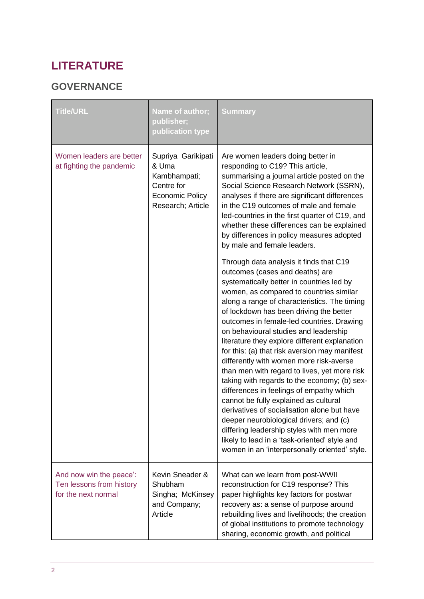## **LITERATURE**

### **GOVERNANCE**

| <b>Title/URL</b>                                                           | Name of author;<br>publisher;<br>publication type                                                        | <b>Summary</b>                                                                                                                                                                                                                                                                                                                                                                                                                                                                                                                                                                                                                                                                                                                                                                                                                                                                                                                 |
|----------------------------------------------------------------------------|----------------------------------------------------------------------------------------------------------|--------------------------------------------------------------------------------------------------------------------------------------------------------------------------------------------------------------------------------------------------------------------------------------------------------------------------------------------------------------------------------------------------------------------------------------------------------------------------------------------------------------------------------------------------------------------------------------------------------------------------------------------------------------------------------------------------------------------------------------------------------------------------------------------------------------------------------------------------------------------------------------------------------------------------------|
| Women leaders are better<br>at fighting the pandemic                       | Supriya Garikipati<br>& Uma<br>Kambhampati;<br>Centre for<br><b>Economic Policy</b><br>Research; Article | Are women leaders doing better in<br>responding to C19? This article,<br>summarising a journal article posted on the<br>Social Science Research Network (SSRN),<br>analyses if there are significant differences<br>in the C19 outcomes of male and female<br>led-countries in the first quarter of C19, and<br>whether these differences can be explained<br>by differences in policy measures adopted<br>by male and female leaders.                                                                                                                                                                                                                                                                                                                                                                                                                                                                                         |
|                                                                            |                                                                                                          | Through data analysis it finds that C19<br>outcomes (cases and deaths) are<br>systematically better in countries led by<br>women, as compared to countries similar<br>along a range of characteristics. The timing<br>of lockdown has been driving the better<br>outcomes in female-led countries. Drawing<br>on behavioural studies and leadership<br>literature they explore different explanation<br>for this: (a) that risk aversion may manifest<br>differently with women more risk-averse<br>than men with regard to lives, yet more risk<br>taking with regards to the economy; (b) sex-<br>differences in feelings of empathy which<br>cannot be fully explained as cultural<br>derivatives of socialisation alone but have<br>deeper neurobiological drivers; and (c)<br>differing leadership styles with men more<br>likely to lead in a 'task-oriented' style and<br>women in an 'interpersonally oriented' style. |
| And now win the peace':<br>Ten lessons from history<br>for the next normal | Kevin Sneader &<br>Shubham<br>Singha; McKinsey<br>and Company;<br>Article                                | What can we learn from post-WWII<br>reconstruction for C19 response? This<br>paper highlights key factors for postwar<br>recovery as: a sense of purpose around<br>rebuilding lives and livelihoods; the creation<br>of global institutions to promote technology<br>sharing, economic growth, and political                                                                                                                                                                                                                                                                                                                                                                                                                                                                                                                                                                                                                   |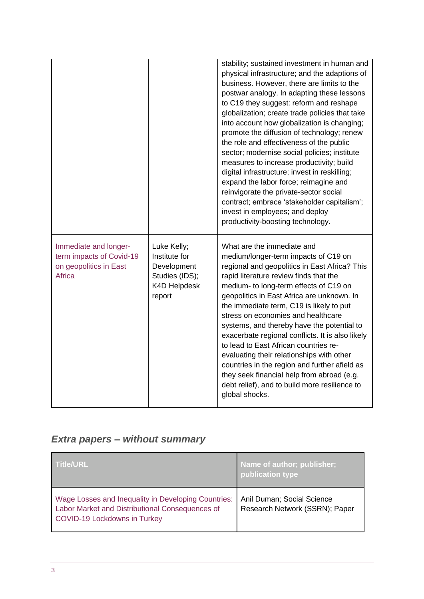|                                                                                              |                                                                                                | stability; sustained investment in human and<br>physical infrastructure; and the adaptions of<br>business. However, there are limits to the<br>postwar analogy. In adapting these lessons<br>to C19 they suggest: reform and reshape<br>globalization; create trade policies that take<br>into account how globalization is changing;<br>promote the diffusion of technology; renew<br>the role and effectiveness of the public<br>sector; modernise social policies; institute<br>measures to increase productivity; build<br>digital infrastructure; invest in reskilling;<br>expand the labor force; reimagine and<br>reinvigorate the private-sector social<br>contract; embrace 'stakeholder capitalism';<br>invest in employees; and deploy<br>productivity-boosting technology. |
|----------------------------------------------------------------------------------------------|------------------------------------------------------------------------------------------------|----------------------------------------------------------------------------------------------------------------------------------------------------------------------------------------------------------------------------------------------------------------------------------------------------------------------------------------------------------------------------------------------------------------------------------------------------------------------------------------------------------------------------------------------------------------------------------------------------------------------------------------------------------------------------------------------------------------------------------------------------------------------------------------|
| Immediate and longer-<br>term impacts of Covid-19<br>on geopolitics in East<br><b>Africa</b> | Luke Kelly;<br>Institute for<br>Development<br>Studies (IDS);<br><b>K4D Helpdesk</b><br>report | What are the immediate and<br>medium/longer-term impacts of C19 on<br>regional and geopolitics in East Africa? This<br>rapid literature review finds that the<br>medium- to long-term effects of C19 on<br>geopolitics in East Africa are unknown. In<br>the immediate term, C19 is likely to put<br>stress on economies and healthcare<br>systems, and thereby have the potential to<br>exacerbate regional conflicts. It is also likely<br>to lead to East African countries re-<br>evaluating their relationships with other<br>countries in the region and further afield as<br>they seek financial help from abroad (e.g.<br>debt relief), and to build more resilience to<br>global shocks.                                                                                      |

## *Extra papers – without summary*

| <b>Title/URL</b>                                                                                                                              | Name of author; publisher;<br>publication type               |
|-----------------------------------------------------------------------------------------------------------------------------------------------|--------------------------------------------------------------|
| Wage Losses and Inequality in Developing Countries:<br>Labor Market and Distributional Consequences of<br><b>COVID-19 Lockdowns in Turkey</b> | Anil Duman; Social Science<br>Research Network (SSRN); Paper |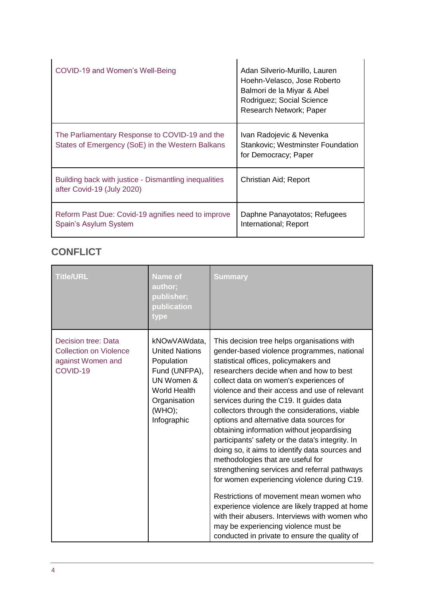| COVID-19 and Women's Well-Being                                                                    | Adan Silverio-Murillo, Lauren<br>Hoehn-Velasco, Jose Roberto<br>Balmori de la Miyar & Abel<br>Rodriguez; Social Science<br>Research Network; Paper |
|----------------------------------------------------------------------------------------------------|----------------------------------------------------------------------------------------------------------------------------------------------------|
| The Parliamentary Response to COVID-19 and the<br>States of Emergency (SoE) in the Western Balkans | Ivan Radojevic & Nevenka<br><b>Stankovic: Westminster Foundation</b><br>for Democracy; Paper                                                       |
| Building back with justice - Dismantling inequalities<br>after Covid-19 (July 2020)                | Christian Aid; Report                                                                                                                              |
| Reform Past Due: Covid-19 agnifies need to improve<br>Spain's Asylum System                        | Daphne Panayotatos; Refugees<br>International; Report                                                                                              |

## **CONFLICT**

| <b>Title/URL</b>                                                                      | <b>Name of</b><br>author;<br>publisher;<br>publication<br>type                                                                                     | <b>Summary</b>                                                                                                                                                                                                                                                                                                                                                                                                                                                                                                                                                                                                                                                                                                                                                                                                                                                                                                                                  |
|---------------------------------------------------------------------------------------|----------------------------------------------------------------------------------------------------------------------------------------------------|-------------------------------------------------------------------------------------------------------------------------------------------------------------------------------------------------------------------------------------------------------------------------------------------------------------------------------------------------------------------------------------------------------------------------------------------------------------------------------------------------------------------------------------------------------------------------------------------------------------------------------------------------------------------------------------------------------------------------------------------------------------------------------------------------------------------------------------------------------------------------------------------------------------------------------------------------|
| Decision tree: Data<br><b>Collection on Violence</b><br>against Women and<br>COVID-19 | kNOwVAWdata,<br><b>United Nations</b><br>Population<br>Fund (UNFPA),<br>UN Women &<br><b>World Health</b><br>Organisation<br>(WHO);<br>Infographic | This decision tree helps organisations with<br>gender-based violence programmes, national<br>statistical offices, policymakers and<br>researchers decide when and how to best<br>collect data on women's experiences of<br>violence and their access and use of relevant<br>services during the C19. It guides data<br>collectors through the considerations, viable<br>options and alternative data sources for<br>obtaining information without jeopardising<br>participants' safety or the data's integrity. In<br>doing so, it aims to identify data sources and<br>methodologies that are useful for<br>strengthening services and referral pathways<br>for women experiencing violence during C19.<br>Restrictions of movement mean women who<br>experience violence are likely trapped at home<br>with their abusers. Interviews with women who<br>may be experiencing violence must be<br>conducted in private to ensure the quality of |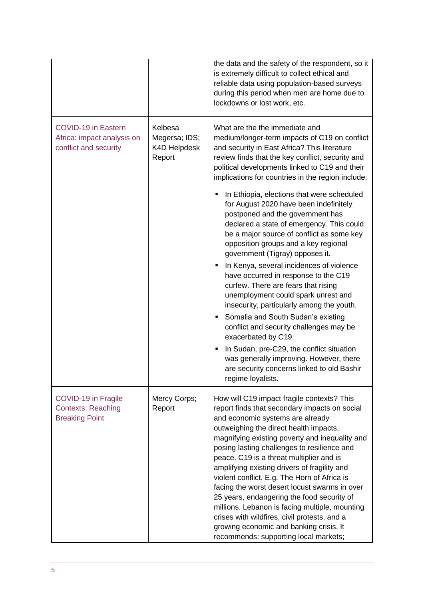|                                                                                   |                                                           | the data and the safety of the respondent, so it<br>is extremely difficult to collect ethical and<br>reliable data using population-based surveys<br>during this period when men are home due to<br>lockdowns or lost work, etc.                                                                                                                                                                                                                                                                                                                                                                                                                                                                                                                                                |
|-----------------------------------------------------------------------------------|-----------------------------------------------------------|---------------------------------------------------------------------------------------------------------------------------------------------------------------------------------------------------------------------------------------------------------------------------------------------------------------------------------------------------------------------------------------------------------------------------------------------------------------------------------------------------------------------------------------------------------------------------------------------------------------------------------------------------------------------------------------------------------------------------------------------------------------------------------|
| <b>COVID-19 in Eastern</b><br>Africa: impact analysis on<br>conflict and security | Kelbesa<br>Megersa; IDS;<br><b>K4D Helpdesk</b><br>Report | What are the the immediate and<br>medium/longer-term impacts of C19 on conflict<br>and security in East Africa? This literature<br>review finds that the key conflict, security and<br>political developments linked to C19 and their<br>implications for countries in the region include:                                                                                                                                                                                                                                                                                                                                                                                                                                                                                      |
|                                                                                   |                                                           | In Ethiopia, elections that were scheduled<br>for August 2020 have been indefinitely<br>postponed and the government has<br>declared a state of emergency. This could<br>be a major source of conflict as some key<br>opposition groups and a key regional<br>government (Tigray) opposes it.<br>In Kenya, several incidences of violence<br>have occurred in response to the C19<br>curfew. There are fears that rising<br>unemployment could spark unrest and<br>insecurity, particularly among the youth.<br>Somalia and South Sudan's existing<br>conflict and security challenges may be<br>exacerbated by C19.<br>In Sudan, pre-C29, the conflict situation<br>was generally improving. However, there<br>are security concerns linked to old Bashir<br>regime loyalists. |
| COVID-19 in Fragile<br><b>Contexts: Reaching</b><br><b>Breaking Point</b>         | Mercy Corps;<br>Report                                    | How will C19 impact fragile contexts? This<br>report finds that secondary impacts on social<br>and economic systems are already<br>outweighing the direct health impacts,<br>magnifying existing poverty and inequality and<br>posing lasting challenges to resilience and<br>peace. C19 is a threat multiplier and is<br>amplifying existing drivers of fragility and<br>violent conflict. E.g. The Horn of Africa is<br>facing the worst desert locust swarms in over<br>25 years, endangering the food security of<br>millions. Lebanon is facing multiple, mounting<br>crises with wildfires, civil protests, and a<br>growing economic and banking crisis. It<br>recommends: supporting local markets;                                                                     |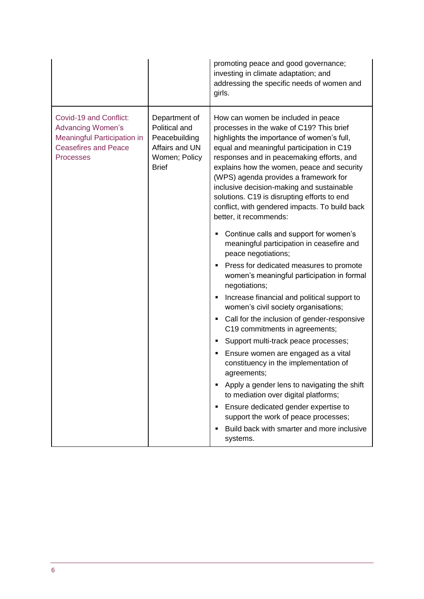|                                                                                                                                      |                                                                                                    | promoting peace and good governance;<br>investing in climate adaptation; and<br>addressing the specific needs of women and<br>girls.                                                                                                                                                                                                                                                                                                                                                  |
|--------------------------------------------------------------------------------------------------------------------------------------|----------------------------------------------------------------------------------------------------|---------------------------------------------------------------------------------------------------------------------------------------------------------------------------------------------------------------------------------------------------------------------------------------------------------------------------------------------------------------------------------------------------------------------------------------------------------------------------------------|
| Covid-19 and Conflict:<br><b>Advancing Women's</b><br>Meaningful Participation in<br><b>Ceasefires and Peace</b><br><b>Processes</b> | Department of<br>Political and<br>Peacebuilding<br>Affairs and UN<br>Women; Policy<br><b>Brief</b> | How can women be included in peace<br>processes in the wake of C19? This brief<br>highlights the importance of women's full,<br>equal and meaningful participation in C19<br>responses and in peacemaking efforts, and<br>explains how the women, peace and security<br>(WPS) agenda provides a framework for<br>inclusive decision-making and sustainable<br>solutions. C19 is disrupting efforts to end<br>conflict, with gendered impacts. To build back<br>better, it recommends: |
|                                                                                                                                      |                                                                                                    | Continue calls and support for women's<br>٠<br>meaningful participation in ceasefire and<br>peace negotiations;                                                                                                                                                                                                                                                                                                                                                                       |
|                                                                                                                                      |                                                                                                    | Press for dedicated measures to promote<br>٠<br>women's meaningful participation in formal<br>negotiations;                                                                                                                                                                                                                                                                                                                                                                           |
|                                                                                                                                      |                                                                                                    | Increase financial and political support to<br>٠<br>women's civil society organisations;                                                                                                                                                                                                                                                                                                                                                                                              |
|                                                                                                                                      |                                                                                                    | Call for the inclusion of gender-responsive<br>C19 commitments in agreements;                                                                                                                                                                                                                                                                                                                                                                                                         |
|                                                                                                                                      |                                                                                                    | Support multi-track peace processes;<br>٠                                                                                                                                                                                                                                                                                                                                                                                                                                             |
|                                                                                                                                      |                                                                                                    | Ensure women are engaged as a vital<br>constituency in the implementation of<br>agreements;                                                                                                                                                                                                                                                                                                                                                                                           |
|                                                                                                                                      |                                                                                                    | Apply a gender lens to navigating the shift<br>٠<br>to mediation over digital platforms;                                                                                                                                                                                                                                                                                                                                                                                              |
|                                                                                                                                      |                                                                                                    | Ensure dedicated gender expertise to<br>٠<br>support the work of peace processes;                                                                                                                                                                                                                                                                                                                                                                                                     |
|                                                                                                                                      |                                                                                                    | Build back with smarter and more inclusive<br>٠<br>systems.                                                                                                                                                                                                                                                                                                                                                                                                                           |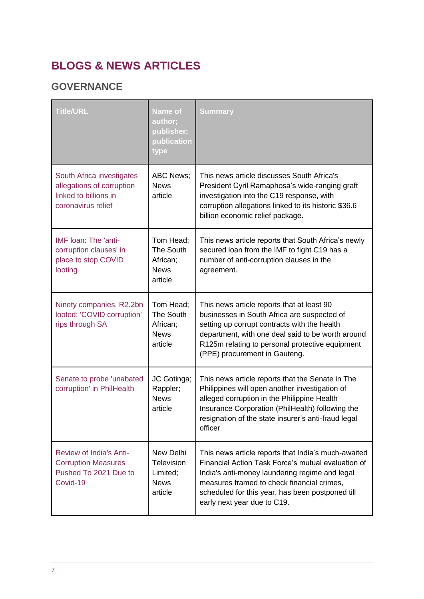## **BLOGS & NEWS ARTICLES**

## **GOVERNANCE**

| <b>Title/URL</b>                                                                                      | <b>Name of</b><br>author;<br>publisher;<br>publication<br>type | <b>Summary</b>                                                                                                                                                                                                                                                                               |
|-------------------------------------------------------------------------------------------------------|----------------------------------------------------------------|----------------------------------------------------------------------------------------------------------------------------------------------------------------------------------------------------------------------------------------------------------------------------------------------|
| South Africa investigates<br>allegations of corruption<br>linked to billions in<br>coronavirus relief | <b>ABC News:</b><br><b>News</b><br>article                     | This news article discusses South Africa's<br>President Cyril Ramaphosa's wide-ranging graft<br>investigation into the C19 response, with<br>corruption allegations linked to its historic \$36.6<br>billion economic relief package.                                                        |
| IMF Ioan: The 'anti-<br>corruption clauses' in<br>place to stop COVID<br>looting                      | Tom Head;<br>The South<br>African;<br><b>News</b><br>article   | This news article reports that South Africa's newly<br>secured loan from the IMF to fight C19 has a<br>number of anti-corruption clauses in the<br>agreement.                                                                                                                                |
| Ninety companies, R2.2bn<br>looted: 'COVID corruption'<br>rips through SA                             | Tom Head;<br>The South<br>African;<br><b>News</b><br>article   | This news article reports that at least 90<br>businesses in South Africa are suspected of<br>setting up corrupt contracts with the health<br>department, with one deal said to be worth around<br>R125m relating to personal protective equipment<br>(PPE) procurement in Gauteng.           |
| Senate to probe 'unabated<br>corruption' in PhilHealth                                                | JC Gotinga;<br>Rappler;<br><b>News</b><br>article              | This news article reports that the Senate in The<br>Philippines will open another investigation of<br>alleged corruption in the Philippine Health<br>Insurance Corporation (PhilHealth) following the<br>resignation of the state insurer's anti-fraud legal<br>officer.                     |
| <b>Review of India's Anti-</b><br><b>Corruption Measures</b><br>Pushed To 2021 Due to<br>Covid-19     | New Delhi<br>Television<br>Limited;<br><b>News</b><br>article  | This news article reports that India's much-awaited<br>Financial Action Task Force's mutual evaluation of<br>India's anti-money laundering regime and legal<br>measures framed to check financial crimes,<br>scheduled for this year, has been postponed till<br>early next year due to C19. |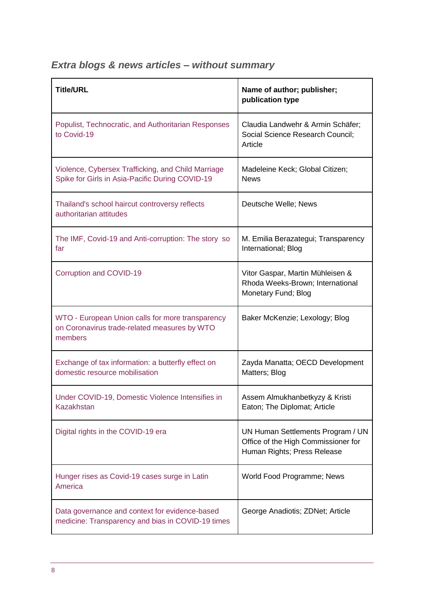|  |  |  | <b>Extra blogs &amp; news articles - without summary</b> |
|--|--|--|----------------------------------------------------------|
|  |  |  |                                                          |

| <b>Title/URL</b>                                                                                            | Name of author; publisher;<br>publication type                                                          |
|-------------------------------------------------------------------------------------------------------------|---------------------------------------------------------------------------------------------------------|
| Populist, Technocratic, and Authoritarian Responses<br>to Covid-19                                          | Claudia Landwehr & Armin Schäfer;<br>Social Science Research Council;<br>Article                        |
| Violence, Cybersex Trafficking, and Child Marriage<br>Spike for Girls in Asia-Pacific During COVID-19       | Madeleine Keck; Global Citizen;<br><b>News</b>                                                          |
| Thailand's school haircut controversy reflects<br>authoritarian attitudes                                   | Deutsche Welle; News                                                                                    |
| The IMF, Covid-19 and Anti-corruption: The story so<br>far                                                  | M. Emilia Berazategui; Transparency<br>International; Blog                                              |
| Corruption and COVID-19                                                                                     | Vitor Gaspar, Martin Mühleisen &<br>Rhoda Weeks-Brown; International<br>Monetary Fund; Blog             |
| WTO - European Union calls for more transparency<br>on Coronavirus trade-related measures by WTO<br>members | Baker McKenzie; Lexology; Blog                                                                          |
| Exchange of tax information: a butterfly effect on<br>domestic resource mobilisation                        | Zayda Manatta; OECD Development<br>Matters; Blog                                                        |
| Under COVID-19, Domestic Violence Intensifies in<br><b>Kazakhstan</b>                                       | Assem Almukhanbetkyzy & Kristi<br>Eaton; The Diplomat; Article                                          |
| Digital rights in the COVID-19 era                                                                          | UN Human Settlements Program / UN<br>Office of the High Commissioner for<br>Human Rights; Press Release |
| Hunger rises as Covid-19 cases surge in Latin<br>America                                                    | World Food Programme; News                                                                              |
| Data governance and context for evidence-based<br>medicine: Transparency and bias in COVID-19 times         | George Anadiotis; ZDNet; Article                                                                        |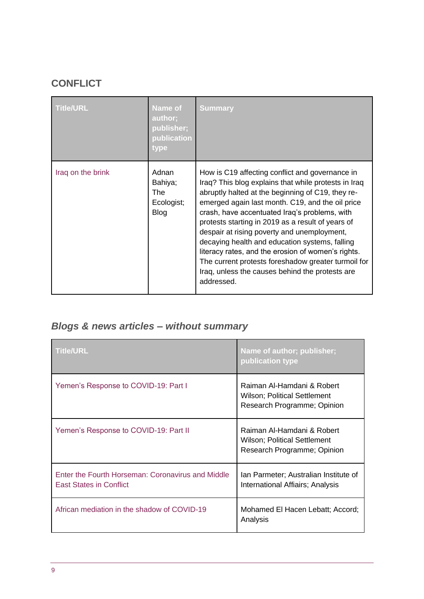## **CONFLICT**

| <b>Title/URL</b>  | <b>Name of</b><br>author;<br>publisher;<br>publication<br>type | <b>Summary</b>                                                                                                                                                                                                                                                                                                                                                                                                                                                                                                                                                                                        |
|-------------------|----------------------------------------------------------------|-------------------------------------------------------------------------------------------------------------------------------------------------------------------------------------------------------------------------------------------------------------------------------------------------------------------------------------------------------------------------------------------------------------------------------------------------------------------------------------------------------------------------------------------------------------------------------------------------------|
| Iraq on the brink | Adnan<br>Bahiya;<br>The<br>Ecologist;<br><b>Blog</b>           | How is C19 affecting conflict and governance in<br>Iraq? This blog explains that while protests in Iraq<br>abruptly halted at the beginning of C19, they re-<br>emerged again last month. C19, and the oil price<br>crash, have accentuated Iraq's problems, with<br>protests starting in 2019 as a result of years of<br>despair at rising poverty and unemployment,<br>decaying health and education systems, falling<br>literacy rates, and the erosion of women's rights.<br>The current protests foreshadow greater turmoil for<br>Iraq, unless the causes behind the protests are<br>addressed. |

## *Blogs & news articles – without summary*

| <b>Title/URL</b>                                                                    | Name of author; publisher;<br>publication type                                                    |
|-------------------------------------------------------------------------------------|---------------------------------------------------------------------------------------------------|
| Yemen's Response to COVID-19: Part I                                                | Raiman Al-Hamdani & Robert<br><b>Wilson</b> ; Political Settlement<br>Research Programme; Opinion |
| Yemen's Response to COVID-19: Part II                                               | Raiman Al-Hamdani & Robert<br><b>Wilson; Political Settlement</b><br>Research Programme; Opinion  |
| Enter the Fourth Horseman: Coronavirus and Middle<br><b>East States in Conflict</b> | Ian Parmeter; Australian Institute of<br>International Affiairs; Analysis                         |
| African mediation in the shadow of COVID-19                                         | Mohamed El Hacen Lebatt; Accord;<br>Analysis                                                      |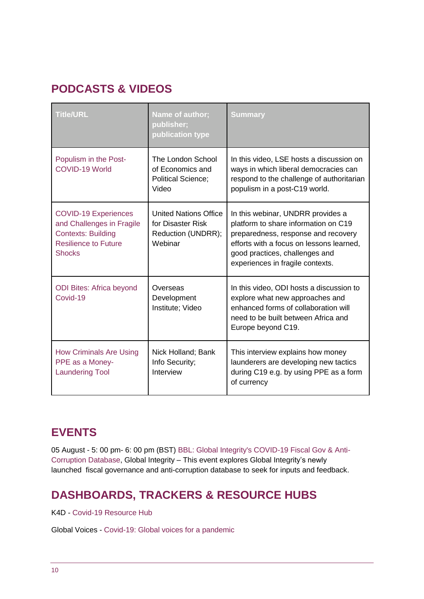## **PODCASTS & VIDEOS**

| <b>Title/URL</b>                                                                                                                      | Name of author;<br>publisher;<br>publication type                                  | <b>Summary</b>                                                                                                                                                                                                                     |
|---------------------------------------------------------------------------------------------------------------------------------------|------------------------------------------------------------------------------------|------------------------------------------------------------------------------------------------------------------------------------------------------------------------------------------------------------------------------------|
| Populism in the Post-<br>COVID-19 World                                                                                               | The London School<br>of Economics and<br><b>Political Science;</b><br>Video        | In this video, LSE hosts a discussion on<br>ways in which liberal democracies can<br>respond to the challenge of authoritarian<br>populism in a post-C19 world.                                                                    |
| <b>COVID-19 Experiences</b><br>and Challenges in Fragile<br><b>Contexts: Building</b><br><b>Resilience to Future</b><br><b>Shocks</b> | <b>United Nations Office</b><br>for Disaster Risk<br>Reduction (UNDRR);<br>Webinar | In this webinar, UNDRR provides a<br>platform to share information on C19<br>preparedness, response and recovery<br>efforts with a focus on lessons learned,<br>good practices, challenges and<br>experiences in fragile contexts. |
| <b>ODI Bites: Africa beyond</b><br>Covid-19                                                                                           | Overseas<br>Development<br>Institute; Video                                        | In this video, ODI hosts a discussion to<br>explore what new approaches and<br>enhanced forms of collaboration will<br>need to be built between Africa and<br>Europe beyond C19.                                                   |
| <b>How Criminals Are Using</b><br>PPE as a Money-<br><b>Laundering Tool</b>                                                           | Nick Holland; Bank<br>Info Security;<br>Interview                                  | This interview explains how money<br>launderers are developing new tactics<br>during C19 e.g. by using PPE as a form<br>of currency                                                                                                |

## **EVENTS**

05 August - 5: 00 pm- 6: 00 pm (BST) [BBL: Global Integrity's COVID-19 Fiscal Gov & Anti-](https://www.eventbrite.com/e/bbl-global-integritys-covid-19-fiscal-gov-anti-corruption-database-tickets-114971153816)[Corruption Database,](https://www.eventbrite.com/e/bbl-global-integritys-covid-19-fiscal-gov-anti-corruption-database-tickets-114971153816) Global Integrity – This event explores Global Integrity's newly launched fiscal governance and anti-corruption database to seek for inputs and feedback.

## **DASHBOARDS, TRACKERS & RESOURCE HUBS**

K4D - [Covid-19 Resource Hub](https://www.ids.ac.uk/projects/K4D-covid-19-resource-hub/)

Global Voices - [Covid-19: Global voices for a pandemic](https://globalvoices.org/specialcoverage/covid-19-global-coverage-for-a-pandemic/)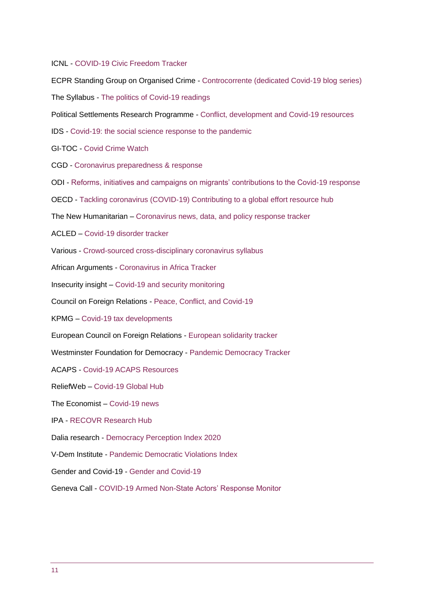#### ICNL - [COVID-19 Civic Freedom Tracker](https://www.icnl.org/covid19tracker/?mc_cid=5fd82e971a&mc_eid=0b85f78cfd)

ECPR Standing Group on Organised Crime - [Controcorrente \(dedicated Covid-19 blog series\)](https://standinggroups.ecpr.eu/sgoc/2020/03/17/controcorrente-coronavirus-and-society/) The Syllabus - [The politics of Covid-19 readings](https://the-syllabus.com/coronavirus-readings/) Political Settlements Research Programme - [Conflict, development and Covid-19 resources](https://www.politicalsettlements.org/covid-19/)  IDS - [Covid-19: the social science response to the pandemic](https://www.ids.ac.uk/news/covid-19-the-social-science-response-to-the-pandemic/?utm_campaign=News%20at%20IDS%20-%20COVID-19%20special&utm_source=emailCampaign&utm_content=&utm_medium=email) GI-TOC - [Covid Crime Watch](https://globalinitiative.net/initiatives/covid-crime-watch/) CGD - [Coronavirus preparedness & response](https://www.cgdev.org/topics/coronavirus) ODI - [Reforms, initiatives and campaigns on migrants' contributions to the Covid-19 response](https://www.odi.org/migrant-key-workers-covid-19/) OECD - Tackling coronavirus (COVID-[19\) Contributing to a global effort resource hub](http://www.oecd.org/coronavirus/en/) The New Humanitarian – [Coronavirus news, data, and policy response tracker](https://www.thenewhumanitarian.org/health/coronavirus) ACLED – [Covid-19 disorder tracker](https://acleddata.com/analysis/covid-19-disorder-tracker/) Various - [Crowd-sourced cross-disciplinary coronavirus syllabus](https://docs.google.com/document/u/0/d/1dTkJmhWQ8NcxhmjeLp6ybT1_YOPhFLx9hZ43j1S7DjE/mobilebasic) African Arguments - [Coronavirus in Africa Tracker](https://africanarguments.org/2020/06/02/coronavirus-in-africa-tracker-how-many-cases-and-where-latest/)  Insecurity insight – [Covid-19 and security monitoring](http://insecurityinsight.org/projects/aid-in-danger/aid-security-and-covid-19) Council on Foreign Relations - [Peace, Conflict, and Covid-19](https://www.cfr.org/article/peace-conflict-and-covid-19) KPMG – [Covid-19 tax developments](https://home.kpmg/xx/en/home/insights/2020/04/taxnewsflash-coronavirus-covid-19-developments.html) European Council on Foreign Relations - [European solidarity tracker](https://www.ecfr.eu/solidaritytracker) Westminster Foundation for Democracy - [Pandemic Democracy Tracker](https://tracker.wfd.org/?utm_source=T%2FAI+Newsletter+List&utm_campaign=9a1c818dba-EMAIL_CAMPAIGN_2018_12_18_05_33_COPY_01&utm_medium=email&utm_term=0_1a5ff28f1e-9a1c818dba-531902638) ACAPS - Covid-19 [ACAPS Resources](https://www.acaps.org/projects/covid19-0) ReliefWeb – [Covid-19 Global Hub](https://reliefweb.int/topics/covid-19-global) The Economist – [Covid-19 news](https://www.economist.com/news/2020/03/11/the-economists-coverage-of-the-coronavirus) IPA - [RECOVR Research Hub](https://www.poverty-action.org/recovr/research-hub) Dalia research - [Democracy Perception Index 2020](https://daliaresearch.com/blog/democracy-perception-index-2020/?utm_source=T%2FAI+Newsletter+List&utm_campaign=098ca8eb5b-EMAIL_CAMPAIGN_2018_12_18_05_33_COPY_01&utm_medium=email&utm_term=0_1a5ff28f1e-098ca8eb5b-531902638) V-Dem Institute - [Pandemic Democratic Violations Index](https://www.v-dem.net/en/analysis/PanDem/) Gender and Covid-19 - [Gender and Covid-19](https://www.genderandcovid-19.org/) Geneva Call - [COVID-19 Armed Non-State Actors' Response Monitor](https://www.genevacall.org/covid-19-armed-non-state-actors-response-monitor/)